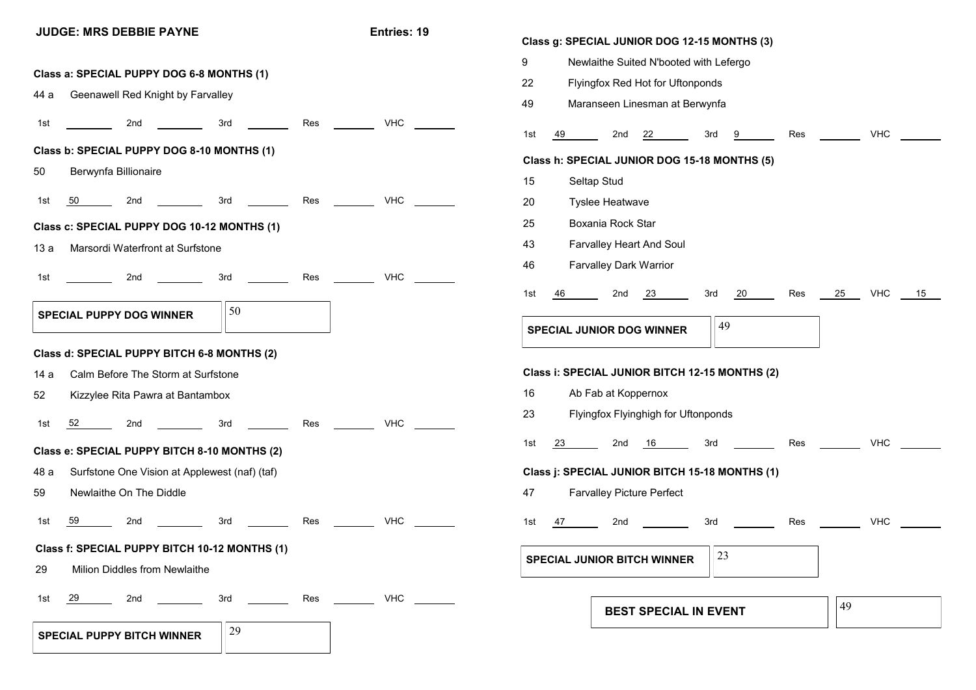## **JUDGE: MRS DEBBIE PAYNE Entries: 19 SPECIAL PUPPY DOG WINNER**  $\vert \vert 50 \vert$ 1st 59 2nd 3rd Res VHC 1st 2nd 3rd Res VHC 1st 50 2nd 3rd Res VHC 1st 2nd 3rd Res VHC 1st 52 2nd 3rd Res VHC **Class a: SPECIAL PUPPY DOG 6-8 MONTHS (1)** 44 a Geenawell Red Knight by Farvalley **Class b: SPECIAL PUPPY DOG 8-10 MONTHS (1)** 50 Berwynfa Billionaire **Class c: SPECIAL PUPPY DOG 10-12 MONTHS (1)** 13 a Marsordi Waterfront at Surfstone **Class d: SPECIAL PUPPY BITCH 6-8 MONTHS (2)** 14 a Calm Before The Storm at Surfstone 52 Kizzylee Rita Pawra at Bantambox **Class e: SPECIAL PUPPY BITCH 8-10 MONTHS (2)** 48 a Surfstone One Vision at Applewest (naf) (taf) 59 Newlaithe On The Diddle **Class f: SPECIAL PUPPY BITCH 10-12 MONTHS (1)** 29 Milion Diddles from Newlaithe **Class g: SPECIAL JUNIOR DOG 12-15 MONTHS (3)** 9 Newlaithe Suited N'booted with Lefergo 22 Flyingfox Red Hot for Uftonponds 49 Maranseen Linesman at Berwynfa 1st 49 2nd 22 3rd 9 Res VHC **Class h: SPECIAL JUNIOR DOG 15-18 MONTHS (5)** 15 Seltap Stud 20 Tyslee Heatwave 25 Boxania Rock Star 43 Farvalley Heart And Soul 46 Farvalley Dark Warrior **SPECIAL JUNIOR DOG WINNER**  $\frac{149}{49}$ **Class i: SPECIAL JUNIOR BITCH 12-15 MONTHS (2)** 16 Ab Fab at Koppernox 23 Flyingfox Flyinghigh for Uftonponds **Class j: SPECIAL JUNIOR BITCH 15-18 MONTHS (1)** 47 Farvalley Picture Perfect 1st 46 2nd 23 3rd 20 Res 25 VHC 15 1st 23 2nd 16 3rd Res VHC 1st 47 2nd 3rd Res VHC **SPECIAL JUNIOR BITCH WINNER**  $\left\|23\right\|$

**SPECIAL PUPPY BITCH WINNER**  $\left|\frac{29}{2}\right|$ 1st 29 2nd 3rd Res VHC **BEST SPECIAL IN EVENT 149**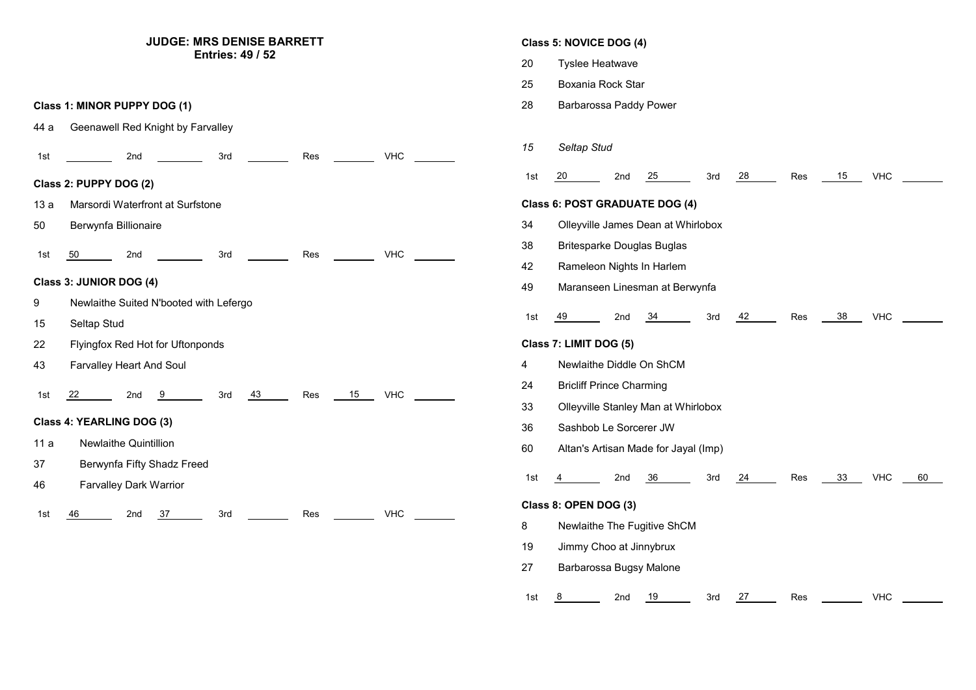## **JUDGE: MRS DENISE BARRETT Entries: 49 / 52**

**Class 1: MINOR PUPPY DOG (1)**

44 a Geenawell Red Knight by Farvalley



|     | Class 5: NOVICE DOG (4)                                 |  |  |  |  |  |
|-----|---------------------------------------------------------|--|--|--|--|--|
| 20  | Tyslee Heatwave                                         |  |  |  |  |  |
| 25  | Boxania Rock Star                                       |  |  |  |  |  |
| 28  | Barbarossa Paddy Power                                  |  |  |  |  |  |
|     |                                                         |  |  |  |  |  |
| 15  | Seltap Stud                                             |  |  |  |  |  |
| 1st | 25<br>28<br>Res<br>15<br>VHC<br>-20<br>2nd<br>3rd       |  |  |  |  |  |
|     | <b>Class 6: POST GRADUATE DOG (4)</b>                   |  |  |  |  |  |
| 34  | Olleyville James Dean at Whirlobox                      |  |  |  |  |  |
| 38  | <b>Britesparke Douglas Buglas</b>                       |  |  |  |  |  |
| 42  | Rameleon Nights In Harlem                               |  |  |  |  |  |
| 49  | Maranseen Linesman at Berwynfa                          |  |  |  |  |  |
| 1st | 49<br>42<br>38<br>2nd<br>34<br>3rd<br>Res<br><b>VHC</b> |  |  |  |  |  |
|     | Class 7: LIMIT DOG (5)                                  |  |  |  |  |  |
| 4   | Newlaithe Diddle On ShCM                                |  |  |  |  |  |
| 24  | <b>Bricliff Prince Charming</b>                         |  |  |  |  |  |
| 33  | Olleyville Stanley Man at Whirlobox                     |  |  |  |  |  |
| 36  | Sashbob Le Sorcerer JW                                  |  |  |  |  |  |
| 60  | Altan's Artisan Made for Jayal (Imp)                    |  |  |  |  |  |
| 1st | 33<br>60<br>4<br>2nd<br>36<br>3rd<br>24<br>Res<br>VHC   |  |  |  |  |  |
|     | Class 8: OPEN DOG (3)                                   |  |  |  |  |  |
| 8   | Newlaithe The Fugitive ShCM                             |  |  |  |  |  |
| 19  | Jimmy Choo at Jinnybrux                                 |  |  |  |  |  |
| 27  | Barbarossa Bugsy Malone                                 |  |  |  |  |  |
| 1st | 2nd<br>19<br>27<br>VHC<br>8<br>3rd<br>Res               |  |  |  |  |  |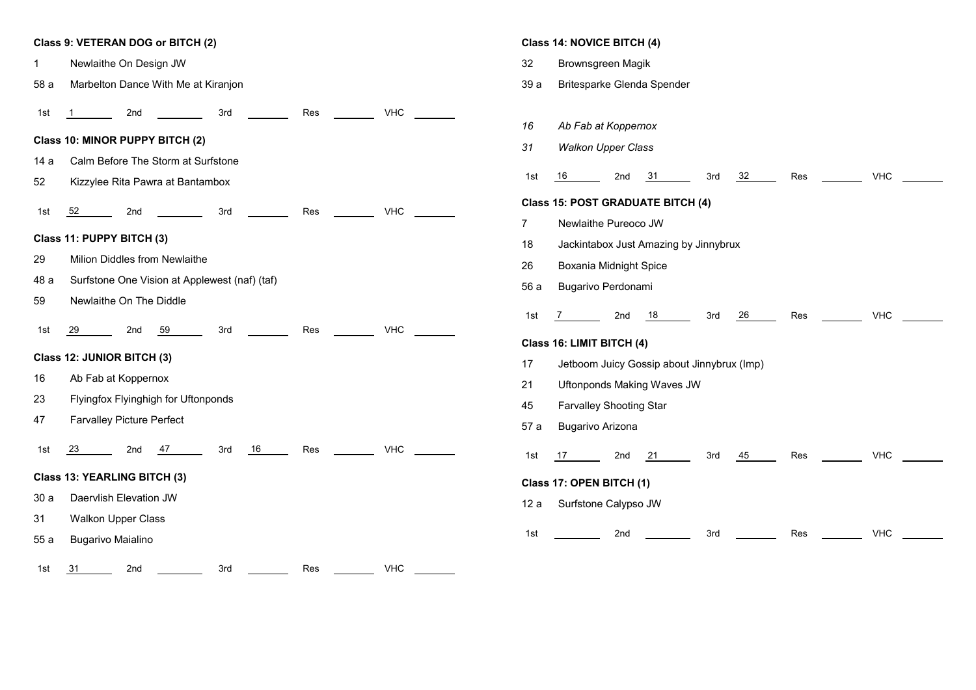## **Class 9: VETERAN DOG or BITCH (2)** 1 Newlaithe On Design JW 58 a Marbelton Dance With Me at Kiranjon **Class 10: MINOR PUPPY BITCH (2)** 14 a Calm Before The Storm at Surfstone 52 Kizzylee Rita Pawra at Bantambox **Class 11: PUPPY BITCH (3)** 29 Milion Diddles from Newlaithe 48 a Surfstone One Vision at Applewest (naf) (taf) 59 Newlaithe On The Diddle 1st <u>1 2nd 1 3rd 1 Res 2 VHC</u> 1st 52 2nd 3rd Res VHC 1st <u>29 - 2nd 59 -</u> 3rd <u>- Res - VHC</u> **Class 12: JUNIOR BITCH (3)** 16 Ab Fab at Koppernox 23 Flyingfox Flyinghigh for Uftonponds 47 Farvalley Picture Perfect **Class 13: YEARLING BITCH (3)** 30 a Daervlish Elevation JW 31 Walkon Upper Class 55 a Bugarivo Maialino 1st 23 2nd 47 3rd 16 Res VHC 1st <u>31</u> 2nd 2nd 3rd Res 2012 Res **Class 14: NOVICE BITCH (4)**

## 32 Brownsgreen Magik 39 a Britesparke Glenda Spender *16 Ab Fab at Koppernox 31 Walkon Upper Class* 1st <u>16 2nd 31 3rd 32 Res 20 VHC</u> 1st <u>7 \_\_\_\_\_\_\_</u> 2nd <u>18 \_\_\_\_</u> 3rd <u>26 \_\_\_\_</u> Res \_\_\_\_\_\_\_\_\_ VHC **Class 15: POST GRADUATE BITCH (4)** 7 Newlaithe Pureoco JW 18 Jackintabox Just Amazing by Jinnybrux 26 Boxania Midnight Spice 56 a Bugarivo Perdonami **Class 16: LIMIT BITCH (4)** 17 Jetboom Juicy Gossip about Jinnybrux (Imp) 21 Uftonponds Making Waves JW 45 Farvalley Shooting Star 57 a Bugarivo Arizona 1st <u>17 2nd 21 3rd 45 Res 20 VHC</u> 1st \_\_\_\_\_\_\_\_\_\_ 2nd \_\_\_\_\_\_\_\_\_\_ 3rd \_\_\_\_\_\_\_\_\_ Res \_\_\_\_\_\_\_\_ VHC **Class 17: OPEN BITCH (1)** 12 a Surfstone Calypso JW